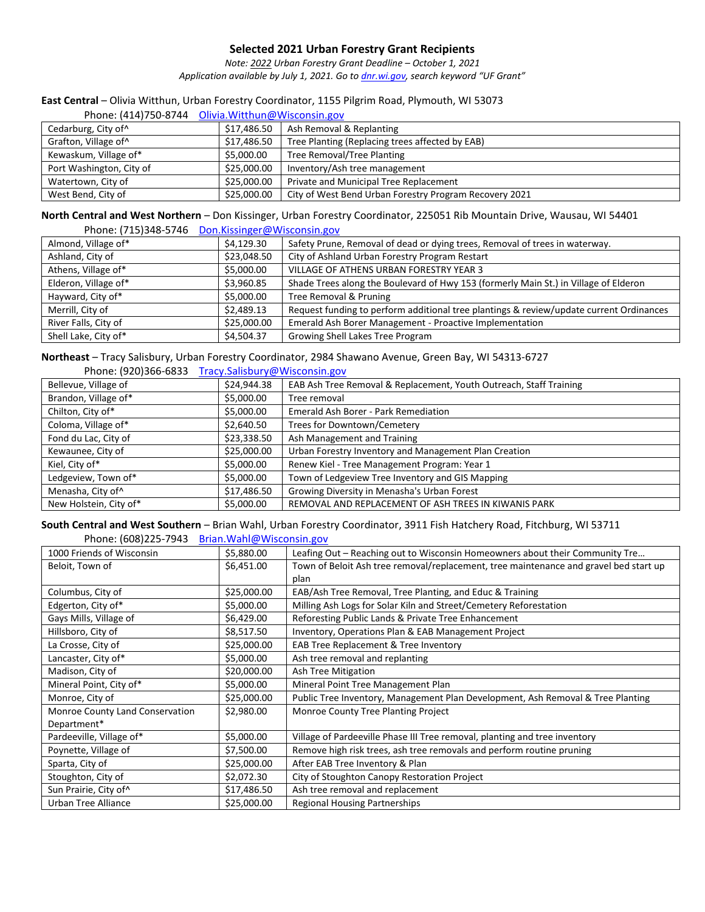## **Selected 2021 Urban Forestry Grant Recipients**

*Note: 2022 Urban Forestry Grant Deadline – October 1, 2021 Application available by July 1, 2021. Go to [dnr.wi.gov](http://dnr.wi.gov/), search keyword "UF Grant"*

## **East Central** – Olivia Witthun, Urban Forestry Coordinator, 1155 Pilgrim Road, Plymouth, WI 53073

| Phone: (414)750-8744 Olivia. Witthun@Wisconsin.gov |             |                                                        |  |  |  |
|----------------------------------------------------|-------------|--------------------------------------------------------|--|--|--|
| Cedarburg, City of ^                               | \$17,486.50 | Ash Removal & Replanting                               |  |  |  |
| Grafton, Village of <sup>^</sup>                   | \$17,486.50 | Tree Planting (Replacing trees affected by EAB)        |  |  |  |
| Kewaskum, Village of*                              | \$5,000.00  | Tree Removal/Tree Planting                             |  |  |  |
| Port Washington, City of                           | \$25,000.00 | Inventory/Ash tree management                          |  |  |  |
| Watertown, City of                                 | \$25,000.00 | Private and Municipal Tree Replacement                 |  |  |  |
| West Bend, City of                                 | \$25,000.00 | City of West Bend Urban Forestry Program Recovery 2021 |  |  |  |

**North Central and West Northern** – Don Kissinger, Urban Forestry Coordinator, 225051 Rib Mountain Drive, Wausau, WI 54401 Phone: (715)348-5746 [Don.Kissinger@Wisconsin.gov](mailto:Don.Kissinger@Wisconsin.gov)

|                      | -- - - -    |                                                                                         |
|----------------------|-------------|-----------------------------------------------------------------------------------------|
| Almond, Village of*  | \$4.129.30  | Safety Prune, Removal of dead or dying trees, Removal of trees in waterway.             |
| Ashland, City of     | \$23,048.50 | City of Ashland Urban Forestry Program Restart                                          |
| Athens, Village of*  | \$5,000.00  | VILLAGE OF ATHENS URBAN FORESTRY YEAR 3                                                 |
| Elderon, Village of* | \$3,960.85  | Shade Trees along the Boulevard of Hwy 153 (formerly Main St.) in Village of Elderon    |
| Hayward, City of*    | \$5,000.00  | Tree Removal & Pruning                                                                  |
| Merrill, City of     | \$2,489.13  | Request funding to perform additional tree plantings & review/update current Ordinances |
| River Falls, City of | \$25,000.00 | Emerald Ash Borer Management - Proactive Implementation                                 |
| Shell Lake, City of* | \$4,504.37  | Growing Shell Lakes Tree Program                                                        |

## **Northeast** – Tracy Salisbury, Urban Forestry Coordinator, 2984 Shawano Avenue, Green Bay, WI 54313-6727 Phone: (920)366-6833 [Tracy.Salisbury@Wisconsin.gov](mailto:Tracy.Salisbury@Wisconsin.gov)

| . uc. .uu.u.u.u.u      |             |                                                                    |  |  |  |  |
|------------------------|-------------|--------------------------------------------------------------------|--|--|--|--|
| Bellevue, Village of   | \$24,944.38 | EAB Ash Tree Removal & Replacement, Youth Outreach, Staff Training |  |  |  |  |
| Brandon, Village of*   | \$5,000.00  | Tree removal                                                       |  |  |  |  |
| Chilton, City of*      | \$5,000.00  | <b>Emerald Ash Borer - Park Remediation</b>                        |  |  |  |  |
| Coloma, Village of*    | \$2,640.50  | Trees for Downtown/Cemetery                                        |  |  |  |  |
| Fond du Lac, City of   | \$23,338.50 | Ash Management and Training                                        |  |  |  |  |
| Kewaunee, City of      | \$25,000.00 | Urban Forestry Inventory and Management Plan Creation              |  |  |  |  |
| Kiel, City of*         | \$5,000.00  | Renew Kiel - Tree Management Program: Year 1                       |  |  |  |  |
| Ledgeview, Town of*    | \$5,000.00  | Town of Ledgeview Tree Inventory and GIS Mapping                   |  |  |  |  |
| Menasha, City of^      | \$17,486.50 | Growing Diversity in Menasha's Urban Forest                        |  |  |  |  |
| New Holstein, City of* | \$5,000.00  | REMOVAL AND REPLACEMENT OF ASH TREES IN KIWANIS PARK               |  |  |  |  |

## **South Central and West Southern** – Brian Wahl, Urban Forestry Coordinator, 3911 Fish Hatchery Road, Fitchburg, WI 53711

Phone: (608)225-7943 [Brian.Wahl@Wisconsin.gov](mailto:Brian.Wahl@Wisconsin.gov)

| 1.1011C.000722J.777             | <u>UTION: WWW.INSOLUTION: SUN</u> |                                                                                       |
|---------------------------------|-----------------------------------|---------------------------------------------------------------------------------------|
| 1000 Friends of Wisconsin       | \$5,880.00                        | Leafing Out – Reaching out to Wisconsin Homeowners about their Community Tre          |
| Beloit, Town of                 | \$6,451.00                        | Town of Beloit Ash tree removal/replacement, tree maintenance and gravel bed start up |
|                                 |                                   | plan                                                                                  |
| Columbus, City of               | \$25,000.00                       | EAB/Ash Tree Removal, Tree Planting, and Educ & Training                              |
| Edgerton, City of*              | \$5,000.00                        | Milling Ash Logs for Solar Kiln and Street/Cemetery Reforestation                     |
| Gays Mills, Village of          | \$6,429.00                        | Reforesting Public Lands & Private Tree Enhancement                                   |
| Hillsboro, City of              | \$8,517.50                        | Inventory, Operations Plan & EAB Management Project                                   |
| La Crosse, City of              | \$25,000.00                       | EAB Tree Replacement & Tree Inventory                                                 |
| Lancaster, City of*             | \$5,000.00                        | Ash tree removal and replanting                                                       |
| Madison, City of                | \$20,000.00                       | Ash Tree Mitigation                                                                   |
| Mineral Point, City of*         | \$5,000.00                        | Mineral Point Tree Management Plan                                                    |
| Monroe, City of                 | \$25,000.00                       | Public Tree Inventory, Management Plan Development, Ash Removal & Tree Planting       |
| Monroe County Land Conservation | \$2,980.00                        | Monroe County Tree Planting Project                                                   |
| Department*                     |                                   |                                                                                       |
| Pardeeville, Village of*        | \$5,000.00                        | Village of Pardeeville Phase III Tree removal, planting and tree inventory            |
| Poynette, Village of            | \$7,500.00                        | Remove high risk trees, ash tree removals and perform routine pruning                 |
| Sparta, City of                 | \$25,000.00                       | After EAB Tree Inventory & Plan                                                       |
| Stoughton, City of              | \$2,072.30                        | City of Stoughton Canopy Restoration Project                                          |
| Sun Prairie, City of^           | \$17,486.50                       | Ash tree removal and replacement                                                      |
| Urban Tree Alliance             | \$25,000.00                       | <b>Regional Housing Partnerships</b>                                                  |